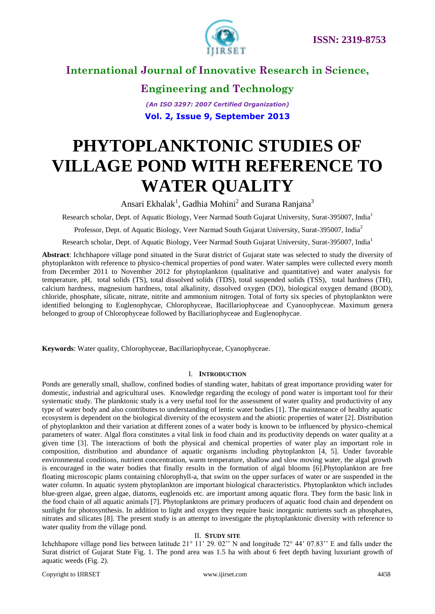

# **Engineering and Technology**

*(An ISO 3297: 2007 Certified Organization)* **Vol. 2, Issue 9, September 2013**

# **PHYTOPLANKTONIC STUDIES OF VILLAGE POND WITH REFERENCE TO WATER QUALITY**

Ansari Ekhalak<sup>1</sup>, Gadhia Mohini<sup>2</sup> and Surana Ranjana<sup>3</sup>

Research scholar, Dept. of Aquatic Biology, Veer Narmad South Gujarat University, Surat-395007, India<sup>1</sup>

Professor, Dept. of Aquatic Biology, Veer Narmad South Gujarat University, Surat-395007, India<sup>2</sup>

Research scholar, Dept. of Aquatic Biology, Veer Narmad South Gujarat University, Surat-395007, India<sup>1</sup>

**Abstract**: Ichchhapore village pond situated in the Surat district of Gujarat state was selected to study the diversity of phytoplankton with reference to physico-chemical properties of pond water. Water samples were collected every month from December 2011 to November 2012 for phytoplankton (qualitative and quantitative) and water analysis for temperature, pH, total solids (TS), total dissolved solids (TDS), total suspended solids (TSS), total hardness (TH), calcium hardness, magnesium hardness, total alkalinity, dissolved oxygen (DO), biological oxygen demand (BOD), chloride, phosphate, silicate, nitrate, nitrite and ammonium nitrogen. Total of forty six species of phytoplankton were identified belonging to Euglenophycae, Chlorophyceae, Bacillariophyceae and Cyanoophyceae. Maximum genera belonged to group of Chlorophyceae followed by Bacillariophyceae and Euglenophycae.

**Keywords**: Water quality, Chlorophyceae, Bacillariophyceae, Cyanophyceae.

#### I. **INTRODUCTION**

Ponds are generally small, shallow, confined bodies of standing water, habitats of great importance providing water for domestic, industrial and agricultural uses. Knowledge regarding the ecology of pond water is important tool for their systematic study. The planktonic study is a very useful tool for the assessment of water quality and productivity of any type of water body and also contributes to understanding of lentic water bodies [1]. The maintenance of healthy aquatic ecosystem is dependent on the biological diversity of the ecosystem and the abiotic properties of water [2]. Distribution of phytoplankton and their variation at different zones of a water body is known to be influenced by physico-chemical parameters of water. Algal flora constitutes a vital link in food chain and its productivity depends on water quality at a given time [3]. The interactions of both the physical and chemical properties of water play an important role in composition, distribution and abundance of aquatic organisms including phytoplankton [4, 5]. Under favorable environmental conditions, nutrient concentration, warm temperature, shallow and slow moving water, the algal growth is encouraged in the water bodies that finally results in the formation of algal blooms [6].Phytoplankton are free floating microscopic plants containing chlorophyll-a, that swim on the upper surfaces of water or are suspended in the water column. In aquatic system phytoplankton are important biological characteristics. Phytoplankton which includes blue-green algae, green algae, diatoms, euglenoids etc. are important among aquatic flora. They form the basic link in the food chain of all aquatic animals [7]. Phytoplanktons are primary producers of aquatic food chain and dependent on sunlight for photosynthesis. In addition to light and oxygen they require basic inorganic nutrients such as phosphates, nitrates and silicates [8]. The present study is an attempt to investigate the phytoplanktonic diversity with reference to water quality from the village pond.

#### II. **STUDY SITE**

Ichchhapore village pond lies between latitude 21° 11' 29. 02" N and longitude 72° 44' 07.83" E and falls under the Surat district of Gujarat State Fig. 1. The pond area was 1.5 ha with about 6 feet depth having luxuriant growth of aquatic weeds (Fig. 2).

Copyright to IJIRSET [www.ijirset.com](http://www.ijirset.com/) 4458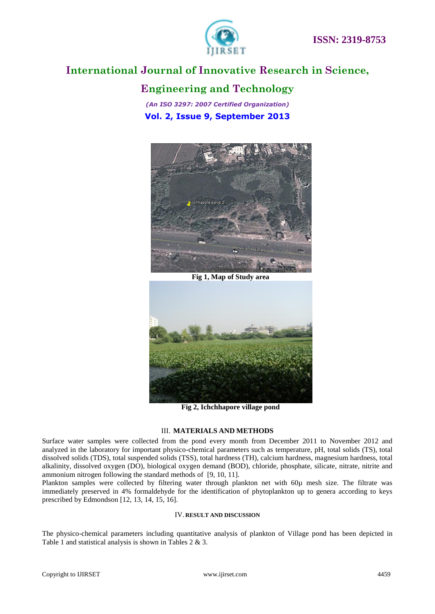

### **Engineering and Technology**

*(An ISO 3297: 2007 Certified Organization)* **Vol. 2, Issue 9, September 2013**



**Fig 1, Map of Study area**



**Fig 2, Ichchhapore village pond**

#### III. **MATERIALS AND METHODS**

Surface water samples were collected from the pond every month from December 2011 to November 2012 and analyzed in the laboratory for important physico-chemical parameters such as temperature, pH, total solids (TS), total dissolved solids (TDS), total suspended solids (TSS), total hardness (TH), calcium hardness, magnesium hardness, total alkalinity, dissolved oxygen (DO), biological oxygen demand (BOD), chloride, phosphate, silicate, nitrate, nitrite and ammonium nitrogen following the standard methods of [9, 10, 11].

Plankton samples were collected by filtering water through plankton net with 60µ mesh size. The filtrate was immediately preserved in 4% formaldehyde for the identification of phytoplankton up to genera according to keys prescribed by Edmondson [12, 13, 14, 15, 16].

#### IV. **RESULT AND DISCUSSION**

The physico-chemical parameters including quantitative analysis of plankton of Village pond has been depicted in Table 1 and statistical analysis is shown in Tables 2 & 3.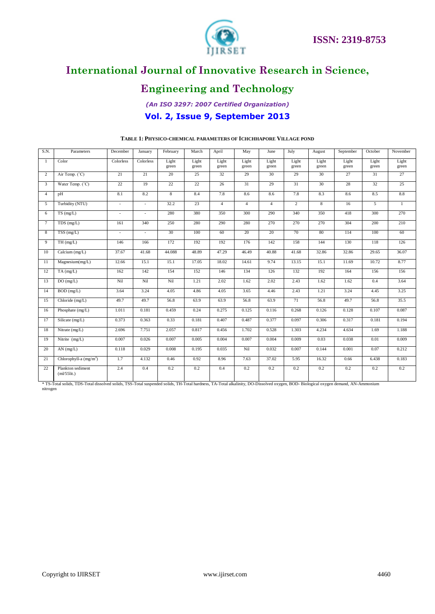



# **Engineering and Technology**

### *(An ISO 3297: 2007 Certified Organization)* **Vol. 2, Issue 9, September 2013**

| S.N.           | Parameters                          | December  | January        | February       | March          | April          | May            | June           | July           | August         | September      | October        | November       |
|----------------|-------------------------------------|-----------|----------------|----------------|----------------|----------------|----------------|----------------|----------------|----------------|----------------|----------------|----------------|
| -1             | Color                               | Colorless | Colorless      | Light<br>green | Light<br>green | Light<br>green | Light<br>green | Light<br>green | Light<br>green | Light<br>green | Light<br>green | Light<br>green | Light<br>green |
| 2              | Air Temp. (°C)                      | 21        | 21             | 20             | 25             | 32             | 29             | 30             | 29             | 30             | 27             | 31             | 27             |
| 3              | Water Temp. (°C)                    | 22        | 19             | 22             | 22             | 26             | 31             | 29             | 31             | 30             | 28             | 32             | 25             |
| $\overline{4}$ | pH                                  | 8.1       | 8.2            | $\overline{8}$ | 8.4            | 7.8            | 8.6            | 8.6            | 7.8            | 8.3            | 8.6            | 8.5            | 8.8            |
| 5              | Turbidity (NTU)                     | $\sim$    | ×.             | 32.2           | 23             | $\overline{4}$ | $\overline{4}$ | $\overline{4}$ | $\overline{2}$ | 8              | 16             | 5              | $\mathbf{1}$   |
| 6              | TS(mg/L)                            | ×.        | $\sim$         | 280            | 380            | 350            | 300            | 290            | 340            | 350            | 418            | 300            | 270            |
| $\tau$         | $TDS$ (mg/L)                        | 161       | 340            | 250            | 280            | 290            | 280            | 270            | 270            | 270            | 304            | 200            | 210            |
| 8              | TSS(mg/L)                           | ÷,        | $\overline{a}$ | 30             | 100            | 60             | 20             | 20             | 70             | 80             | 114            | 100            | 60             |
| 9              | TH(mg/L)                            | 146       | 166            | 172            | 192            | 192            | 176            | 142            | 158            | 144            | 130            | 118            | 126            |
| 10             | Calcium (mg/L)                      | 37.67     | 41.68          | 44.088         | 48.89          | 47.29          | 46.49          | 40.88          | 41.68          | 32.86          | 32.86          | 29.65          | 36.07          |
| 11             | Magnesium(mg/L)                     | 12.66     | 15.1           | 15.1           | 17.05          | 18.02          | 14.61          | 9.74           | 13.15          | 15.1           | 11.69          | 10.72          | 8.77           |
| 12             | $TA$ (mg/L)                         | 162       | 142            | 154            | 152            | 146            | 134            | 126            | 132            | 192            | 164            | 156            | 156            |
| 13             | DO(mg/L)                            | Nil       | Nil            | Nil            | 1.21           | 2.02           | 1.62           | 2.02           | 2.43           | 1.62           | 1.62           | 0.4            | 3.64           |
| 14             | $BOD$ (mg/L)                        | 3.64      | 3.24           | 4.05           | 4.86           | 4.05           | 3.65           | 4.46           | 2.43           | 1.21           | 3.24           | 4.45           | 3.25           |
| 15             | Chloride (mg/L)                     | 49.7      | 49.7           | 56.8           | 63.9           | 63.9           | 56.8           | 63.9           | 71             | 56.8           | 49.7           | 56.8           | 35.5           |
| 16             | Phosphate (mg/L)                    | 1.011     | 0.181          | 0.459          | 0.24           | 0.275          | 0.125          | 0.116          | 0.268          | 0.126          | 0.128          | 0.107          | 0.087          |
| 17             | Silicate (mg/L)                     | 0.373     | 0.363          | 0.33           | 0.181          | 0.407          | 0.487          | 0.377          | 0.097          | 0.306          | 0.317          | 0.181          | 0.194          |
| 18             | $\overline{\text{Nitrate}}$ (mg/L)  | 2.696     | 7.751          | 2.057          | 0.817          | 0.456          | 1.702          | 0.528          | 1.303          | 4.234          | 4.634          | 1.69           | 1.188          |
| 19             | Nitrite $(mg/L)$                    | 0.007     | 0.026          | 0.007          | 0.005          | 0.004          | 0.007          | 0.004          | 0.009          | 0.03           | 0.038          | 0.01           | 0.009          |
| 20             | $AN$ (mg/L)                         | 0.118     | 0.029          | 0.008          | 0.195          | 0.035          | Nil            | 0.032          | 0.007          | 0.144          | 0.001          | 0.07           | 0.212          |
| 21             | Chlorophyll-a $(mg/m3)$             | 1.7       | 4.132          | 0.46           | 0.92           | 8.96           | 7.63           | 37.02          | 5.95           | 16.32          | 0.66           | 6.438          | 0.183          |
| 22             | Plankton sediment<br>$(ml/55$ lit.) | 2.4       | 0.4            | 0.2            | 0.2            | 0.4            | 0.2            | 0.2            | 0.2            | 0.2            | 0.2            | 0.2            | 0.2            |

#### **TABLE 1: PHYSICO-CHEMICAL PARAMETERS OF ICHCHHAPORE VILLAGE POND**

\* TS-Total solids, TDS-Total dissolved solids, TSS-Total suspended solids, TH-Total hardness, TA-Total alkalinity, DO-Dissolved oxygen, BOD- Biological oxygen demand, AN-Ammonium nitrogen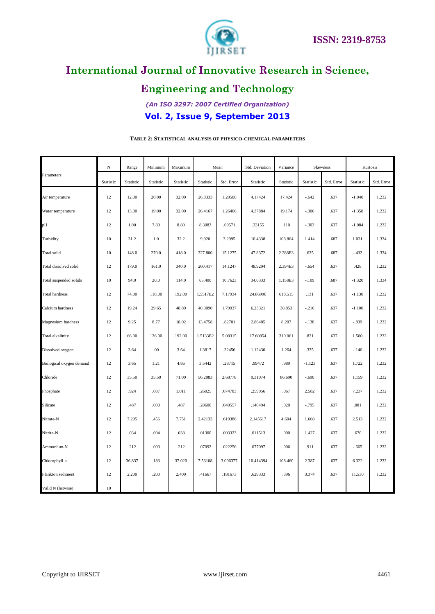

# **Engineering and Technology**

*(An ISO 3297: 2007 Certified Organization)* **Vol. 2, Issue 9, September 2013**

|                          | $\mathbf N$ | Range     | Minimum   | Maximum   |           | Mean       | Std. Deviation | Variance  |           | Skewness   |           | Kurtosis   |
|--------------------------|-------------|-----------|-----------|-----------|-----------|------------|----------------|-----------|-----------|------------|-----------|------------|
| Parameters               | Statistic   | Statistic | Statistic | Statistic | Statistic | Std. Error | Statistic      | Statistic | Statistic | Std. Error | Statistic | Std. Error |
| Air temperature          | 12          | 12.00     | 20.00     | 32.00     | 26.8333   | 1.20500    | 4.17424        | 17.424    | $-.642$   | .637       | $-1.040$  | 1.232      |
| Water temperature        | 12          | 13.00     | 19.00     | 32.00     | 26.4167   | 1.26406    | 4.37884        | 19.174    | $-.306$   | .637       | $-1.358$  | 1.232      |
| pH                       | 12          | 1.00      | 7.80      | 8.80      | 8.3083    | .09571     | .33155         | .110      | $-.303$   | .637       | $-1.084$  | 1.232      |
| Turbidity                | 10          | 31.2      | 1.0       | 32.2      | 9.920     | 3.2995     | 10.4338        | 108.864   | 1.414     | .687       | 1.031     | 1.334      |
| Total solid              | 10          | 148.0     | 270.0     | 418.0     | 327.800   | 15.1275    | 47.8372        | 2.288E3   | .635      | .687       | $-.432$   | 1.334      |
| Total dissolved solid    | 12          | 179.0     | 161.0     | 340.0     | 260.417   | 14.1247    | 48.9294        | 2.394E3   | $-.654$   | .637       | .428      | 1.232      |
| Total suspended solids   | 10          | 94.0      | 20.0      | 114.0     | 65.400    | 10.7623    | 34.0333        | 1.158E3   | $-.109$   | .687       | $-1.320$  | 1.334      |
| <b>Total hardness</b>    | 12          | 74.00     | 118.00    | 192.00    | 1.5517E2  | 7.17934    | 24.86996       | 618.515   | .131      | .637       | $-1.130$  | 1.232      |
| Calcium hardness         | 12          | 19.24     | 29.65     | 48.89     | 40.0090   | 1.79937    | 6.23321        | 38.853    | $-.216$   | .637       | $-1.100$  | 1.232      |
| Magnesium hardness       | 12          | 9.25      | 8.77      | 18.02     | 13.4758   | .82701     | 2.86485        | 8.207     | $-.138$   | .637       | $-.839$   | 1.232      |
| Total alkalinity         | 12          | 66.00     | 126.00    | 192.00    | 1.5133E2  | 5.08315    | 17.60854       | 310.061   | .821      | .637       | 1.580     | 1.232      |
| Dissolved oxygen         | 12          | 3.64      | .00       | 3.64      | 1.3817    | .32456     | 1.12430        | 1.264     | .335      | .637       | $-.146$   | 1.232      |
| Biological oxygen demand | 12          | 3.65      | 1.21      | 4.86      | 3.5442    | .28715     | .99472         | .989      | $-1.123$  | .637       | 1.722     | 1.232      |
| Chloride                 | 12          | 35.50     | 35.50     | 71.00     | 56.2083   | 2.68778    | 9.31074        | 86.690    | $-.690$   | .637       | 1.159     | 1.232      |
| Phosphate                | 12          | .924      | .087      | 1.011     | .26025    | .074783    | .259056        | .067      | 2.582     | .637       | 7.237     | 1.232      |
| Silicate                 | 12          | .487      | .000      | .487      | .28600    | .040557    | .140494        | .020      | $-.795$   | .637       | .081      | 1.232      |
| Nitrate-N                | 12          | 7.295     | .456      | 7.751     | 2.42133   | .619386    | 2.145617       | 4.604     | 1.608     | .637       | 2.513     | 1.232      |
| Nitrite-N                | 12          | .034      | .004      | .038      | .01300    | .003323    | .011513        | .000      | 1.427     | .637       | .670      | 1.232      |
| Ammonium-N               | 12          | .212      | .000      | .212      | .07092    | .022256    | .077097        | .006      | .911      | .637       | $-.665$   | 1.232      |
| Chlorophyll-a            | 12          | 36.837    | .183      | 37.020    | 7.53108   | 3.006377   | 10.414394      | 108.460   | 2.387     | .637       | 6.322     | 1.232      |
| Plankton sediment        | 12          | 2.200     | .200      | 2.400     | .41667    | .181673    | .629333        | .396      | 3.374     | .637       | 11.530    | 1.232      |
| Valid N (listwise)       | 10          |           |           |           |           |            |                |           |           |            |           |            |

### **TABLE 2: STATISTICAL ANALYSIS OF PHYSICO-CHEMICAL PARAMETERS**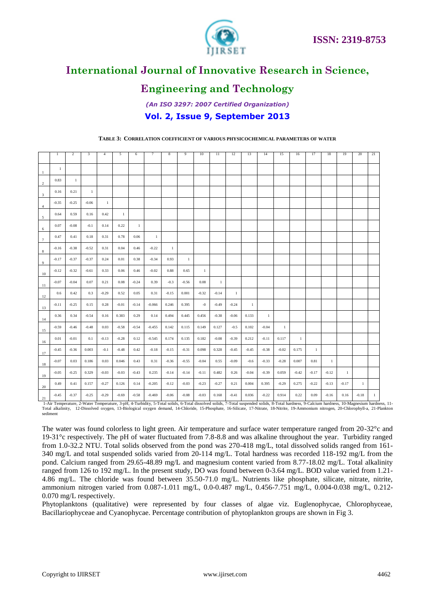



# **Engineering and Technology**

### *(An ISO 3297: 2007 Certified Organization)* **Vol. 2, Issue 9, September 2013**

|                         | $\mathbf{1}$ | $\overline{2}$ | 3            | $\overline{4}$ | 5       | 6            | $\overline{7}$ | $\,$ 8 $\,$  | 9            | 10           | 11           | 12           | 13           | 14           | 15      | 16           | 17           | 18           | 19           | 20           | 21           |
|-------------------------|--------------|----------------|--------------|----------------|---------|--------------|----------------|--------------|--------------|--------------|--------------|--------------|--------------|--------------|---------|--------------|--------------|--------------|--------------|--------------|--------------|
| $\overline{1}$          | 1            |                |              |                |         |              |                |              |              |              |              |              |              |              |         |              |              |              |              |              |              |
| $\overline{2}$          | 0.83         | $\mathbf{1}$   |              |                |         |              |                |              |              |              |              |              |              |              |         |              |              |              |              |              |              |
| $\overline{\mathbf{3}}$ | 0.16         | 0.21           | $\mathbf{1}$ |                |         |              |                |              |              |              |              |              |              |              |         |              |              |              |              |              |              |
| $\overline{4}$          | $-0.35$      | $-0.25$        | $-0.06$      | -1             |         |              |                |              |              |              |              |              |              |              |         |              |              |              |              |              |              |
| $\sqrt{5}$              | 0.64         | 0.59           | 0.16         | 0.42           | 1       |              |                |              |              |              |              |              |              |              |         |              |              |              |              |              |              |
| 6                       | 0.07         | $-0.08$        | $-0.1$       | 0.14           | 0.22    | $\mathbf{1}$ |                |              |              |              |              |              |              |              |         |              |              |              |              |              |              |
| $7\overline{ }$         | 0.47         | 0.41           | 0.18         | 0.31           | 0.78    | 0.06         | $\mathbf{1}$   |              |              |              |              |              |              |              |         |              |              |              |              |              |              |
| 8                       | $-0.16$      | $-0.38$        | $-0.52$      | 0.31           | 0.04    | 0.46         | $-0.22$        | $\mathbf{1}$ |              |              |              |              |              |              |         |              |              |              |              |              |              |
| $\overline{9}$          | $-0.17$      | $-0.37$        | $-0.37$      | 0.24           | 0.01    | 0.38         | $-0.34$        | 0.93         | $\mathbf{1}$ |              |              |              |              |              |         |              |              |              |              |              |              |
| 10                      | $-0.12$      | $-0.32$        | $-0.61$      | 0.33           | 0.06    | 0.46         | $-0.02$        | 0.88         | 0.65         | $\mathbf{1}$ |              |              |              |              |         |              |              |              |              |              |              |
| 11                      | $-0.07$      | $-0.04$        | 0.07         | 0.21           | 0.08    | $-0.24$      | 0.39           | $-0.3$       | $-0.56$      | 0.08         | $\mathbf{1}$ |              |              |              |         |              |              |              |              |              |              |
| 12                      | 0.6          | 0.42           | 0.3          | $-0.29$        | 0.52    | 0.05         | 0.31           | $-0.15$      | 0.001        | $-0.32$      | $-0.14$      | $\mathbf{1}$ |              |              |         |              |              |              |              |              |              |
| 13                      | $-0.11$      | $-0.25$        | 0.15         | 0.28           | $-0.01$ | $-0.14$      | $-0.066$       | 0.246        | 0.395        | $-0$         | $-0.49$      | $-0.24$      | $\mathbf{1}$ |              |         |              |              |              |              |              |              |
| 14                      | 0.36         | 0.34           | $-0.54$      | 0.16           | 0.383   | 0.29         | 0.14           | 0.494        | 0.445        | 0.456        | $-0.38$      | $-0.06$      | 0.133        | $\mathbf{1}$ |         |              |              |              |              |              |              |
| 15                      | $-0.59$      | $-0.46$        | $-0.48$      | 0.03           | $-0.58$ | $-0.54$      | $-0.455$       | 0.142        | 0.115        | 0.149        | 0.127        | $-0.5$       | 0.102        | $-0.04$      | 1       |              |              |              |              |              |              |
| 16                      | 0.01         | $-0.01$        | 0.1          | $-0.13$        | $-0.28$ | 0.12         | $-0.545$       | 0.174        | 0.135        | 0.182        | $-0.08$      | $-0.39$      | 0.212        | $-0.11$      | 0.117   | $\mathbf{1}$ |              |              |              |              |              |
| 17                      | $-0.45$      | $-0.36$        | 0.003        | $-0.1$         | $-0.48$ | 0.42         | $-0.18$        | $-0.15$      | $-0.31$      | 0.098        | 0.328        | $-0.45$      | $-0.45$      | $-0.38$      | $-0.02$ | 0.175        | $\mathbf{1}$ |              |              |              |              |
| 18                      | $-0.07$      | 0.03           | 0.186        | 0.03           | 0.046   | 0.43         | 0.31           | $-0.36$      | $-0.55$      | $-0.04$      | 0.55         | $-0.09$      | $-0.6$       | $-0.33$      | $-0.28$ | 0.007        | 0.81         | $\mathbf{1}$ |              |              |              |
| 19                      | $-0.05$      | $-0.25$        | 0.329        | $-0.03$        | $-0.03$ | $-0.43$      | 0.235          | $-0.14$      | $-0.14$      | $-0.11$      | 0.482        | 0.26         | $-0.04$      | $-0.39$      | 0.059   | $-0.42$      | $-0.17$      | $-0.12$      | $\mathbf{1}$ |              |              |
| 20                      | 0.49         | 0.41           | 0.157        | $-0.27$        | 0.126   | 0.14         | $-0.205$       | $-0.12$      | $-0.03$      | $-0.23$      | $-0.27$      | 0.21         | 0.004        | 0.395        | $-0.29$ | 0.275        | $-0.22$      | $-0.13$      | $-0.17$      | $\mathbf{1}$ |              |
| 21                      | $-0.45$      | $-0.37$        | $-0.25$      | $-0.29$        | $-0.69$ | $-0.58$      | $-0.469$       | $-0.06$      | $-0.08$      | $-0.03$      | 0.168        | $-0.41$      | 0.036        | $-0.22$      | 0.914   | 0.22         | 0.09         | $-0.16$      | 0.16         | $-0.18$      | $\mathbf{1}$ |

**TABLE 3: CORRELATION COEFFICIENT OF VARIOUS PHYSICOCHEMICAL PARAMETERS OF WATER**

1-Air Temperature, 2-Water Temperature, 3-pH, 4-Turbidity, 5-Total solids, 6-Total dissolved solids, 7-Total suspended solids, 8-Total hardness, 9-Calcium hardness, 10-Magnesium hardness, 11-<br>1-Air Temperature, 2-Water Tem Total alkalinity, 12-Dissolved oxygen, 13-Biological oxygen demand, 14-Chloride, 15-Phosphate, 16-Silicate, 17-Nitrate, 18-Nitrite, 19-Ammonium nitrogen, 20-Chlorophyll-a, 21-Plankton sediment

The water was found colorless to light green. Air temperature and surface water temperature ranged from 20-32°c and 19-31°c respectively. The pH of water fluctuated from 7.8-8.8 and was alkaline throughout the year. Turbidity ranged from 1.0-32.2 NTU. Total solids observed from the pond was 270-418 mg/L, total dissolved solids ranged from 161- 340 mg/L and total suspended solids varied from 20-114 mg/L. Total hardness was recorded 118-192 mg/L from the pond. Calcium ranged from 29.65-48.89 mg/L and magnesium content varied from 8.77-18.02 mg/L. Total alkalinity ranged from 126 to 192 mg/L. In the present study, DO was found between 0-3.64 mg/L. BOD value varied from 1.21-4.86 mg/L. The chloride was found between 35.50-71.0 mg/L. Nutrients like phosphate, silicate, nitrate, nitrite, ammonium nitrogen varied from 0.087-1.011 mg/L, 0.0-0.487 mg/L, 0.456-7.751 mg/L, 0.004-0.038 mg/L, 0.212- 0.070 mg/L respectively.

Phytoplanktons (qualitative) were represented by four classes of algae viz. Euglenophycae, Chlorophyceae, Bacillariophyceae and Cyanophycae. Percentage contribution of phytoplankton groups are shown in Fig 3.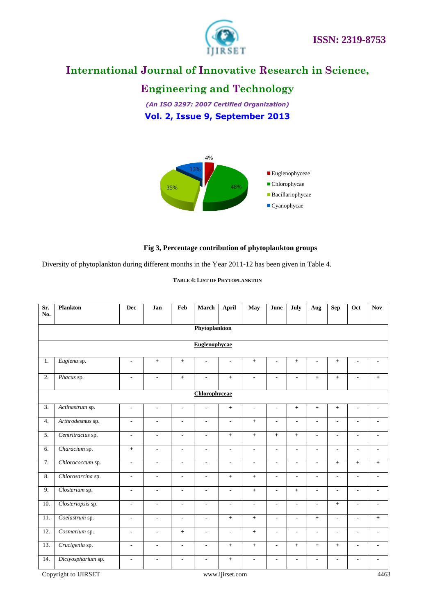

### **Engineering and Technology**

*(An ISO 3297: 2007 Certified Organization)* **Vol. 2, Issue 9, September 2013**



#### **Fig 3, Percentage contribution of phytoplankton groups**

Diversity of phytoplankton during different months in the Year 2011-12 has been given in Table 4.

#### **TABLE 4: LIST OF PHYTOPLANKTON**

| Sr.<br>No.       | <b>Plankton</b>    | <b>Dec</b>               | Jan                      | Feb            | <b>March</b>             | <b>April</b>             | May                          | June                     | July           | Aug                          | <b>Sep</b>               | Oct                      | <b>Nov</b>               |  |  |
|------------------|--------------------|--------------------------|--------------------------|----------------|--------------------------|--------------------------|------------------------------|--------------------------|----------------|------------------------------|--------------------------|--------------------------|--------------------------|--|--|
|                  |                    |                          |                          |                |                          |                          |                              |                          |                |                              |                          |                          |                          |  |  |
|                  |                    |                          |                          |                | Phytoplankton            |                          |                              |                          |                |                              |                          |                          |                          |  |  |
|                  |                    |                          |                          |                | <b>Euglenophycae</b>     |                          |                              |                          |                |                              |                          |                          |                          |  |  |
|                  |                    |                          |                          |                |                          |                          |                              |                          |                |                              |                          |                          |                          |  |  |
| 1.               | Euglena sp.        | $\overline{\phantom{a}}$ | $+$                      | $+$            | $\overline{\phantom{a}}$ | $\overline{\phantom{a}}$ | $+$                          | $\blacksquare$           | $+$            | $\blacksquare$               | $+$                      | $\blacksquare$           | $\blacksquare$           |  |  |
| 2.               | Phacus sp.         | $\blacksquare$           | $\blacksquare$           | $+$            | $\blacksquare$           | $+$                      | $\blacksquare$               | $\blacksquare$           | $\blacksquare$ | $+$                          | $+$                      | $\blacksquare$           | $+$                      |  |  |
|                  | Chlorophyceae      |                          |                          |                |                          |                          |                              |                          |                |                              |                          |                          |                          |  |  |
| $\overline{3}$ . | Actinastrum sp.    | $\blacksquare$           | $\overline{\phantom{a}}$ | $\blacksquare$ | $\blacksquare$           | $+$                      | $\overline{\phantom{a}}$     | $\overline{\phantom{a}}$ | $+$            | $+$                          | $+$                      | $\overline{\phantom{a}}$ | $\overline{\phantom{0}}$ |  |  |
| 4.               | Arthrodesmus sp.   | $\blacksquare$           | $\blacksquare$           | $\blacksquare$ | $\overline{\phantom{a}}$ | $\blacksquare$           | $+$                          | $\overline{\phantom{a}}$ | $\blacksquare$ | $\overline{\phantom{a}}$     | $\overline{\phantom{a}}$ | $\overline{\phantom{a}}$ | $\blacksquare$           |  |  |
| 5.               | Centritractus sp.  | $\overline{\phantom{a}}$ | $\blacksquare$           | $\blacksquare$ | $\blacksquare$           | $+$                      | $+$                          | $+$                      | $+$            | $\qquad \qquad \blacksquare$ | $\overline{\phantom{0}}$ | $\blacksquare$           | $\blacksquare$           |  |  |
| 6.               | Characium sp.      | $^{+}$                   | $\overline{\phantom{a}}$ | $\blacksquare$ | $\blacksquare$           | $\overline{\phantom{a}}$ | $\qquad \qquad \blacksquare$ | $\blacksquare$           | $\blacksquare$ | $\overline{\phantom{0}}$     | $\overline{\phantom{0}}$ | $\blacksquare$           | $\blacksquare$           |  |  |
| 7.               | Chlorococcum sp.   | $\blacksquare$           | $\blacksquare$           | $\blacksquare$ | $\blacksquare$           | $\blacksquare$           | $\overline{\phantom{0}}$     | $\blacksquare$           | $\blacksquare$ | $\overline{\phantom{0}}$     | $+$                      | $+$                      | $+$                      |  |  |
| 8.               | Chlorosarcina sp.  | $\blacksquare$           | $\blacksquare$           | $\blacksquare$ | $\blacksquare$           | $+$                      | $+$                          | $\blacksquare$           | $\blacksquare$ | $\overline{\phantom{0}}$     | $\overline{\phantom{0}}$ | $\blacksquare$           | $\overline{a}$           |  |  |
| 9.               | Closterium sp.     | $\blacksquare$           | $\blacksquare$           | $\blacksquare$ | $\blacksquare$           | $\overline{\phantom{0}}$ | $+$                          | $\blacksquare$           | $+$            | $\blacksquare$               | $\overline{\phantom{0}}$ | $\blacksquare$           | $\blacksquare$           |  |  |
| 10.              | Closteriopsis sp.  | $\blacksquare$           | $\blacksquare$           | $\blacksquare$ | $\blacksquare$           | $\blacksquare$           | $\blacksquare$               | $\blacksquare$           | $\blacksquare$ | $\blacksquare$               | $+$                      | $\blacksquare$           | $\blacksquare$           |  |  |
| 11.              | Coelastrum sp.     | $\blacksquare$           | $\overline{\phantom{a}}$ | $\blacksquare$ | $\blacksquare$           | $+$                      | $+$                          | $\blacksquare$           | $\blacksquare$ | $+$                          | $\blacksquare$           | $\overline{\phantom{a}}$ | $+$                      |  |  |
| 12.              | Cosmarium sp.      | $\blacksquare$           | $\blacksquare$           | $+$            | $\blacksquare$           | $\overline{\phantom{a}}$ | $+$                          | $\overline{\phantom{a}}$ | $\blacksquare$ | $\qquad \qquad \blacksquare$ | $\overline{\phantom{a}}$ | $\blacksquare$           | $\blacksquare$           |  |  |
| 13.              | Crucigenia sp.     | $\blacksquare$           | $\blacksquare$           | $\blacksquare$ | $\blacksquare$           | $+$                      | $+$                          | $\blacksquare$           | $+$            | $+$                          | $+$                      | $\overline{\phantom{a}}$ | $\blacksquare$           |  |  |
| 14.              | Dictyospharium sp. | $\blacksquare$           | $\blacksquare$           | $\blacksquare$ | $\blacksquare$           | $+$                      | $\qquad \qquad \blacksquare$ |                          | $\blacksquare$ | $\blacksquare$               |                          | $\blacksquare$           | $\overline{a}$           |  |  |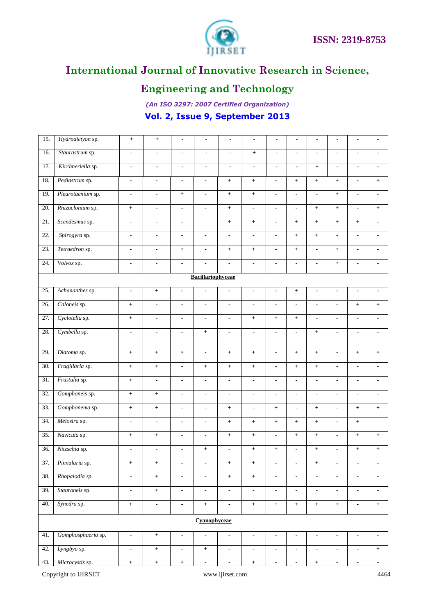

# **Engineering and Technology**

*(An ISO 3297: 2007 Certified Organization)* **Vol. 2, Issue 9, September 2013**

| 15.               | Hydrodictyon sp.         | $\boldsymbol{+}$         | $+$                          |                          |                          | $\blacksquare$           |                          |                          |                          |                          |                          |                                  |                          |  |  |
|-------------------|--------------------------|--------------------------|------------------------------|--------------------------|--------------------------|--------------------------|--------------------------|--------------------------|--------------------------|--------------------------|--------------------------|----------------------------------|--------------------------|--|--|
| 16.               | Staurastrum sp.          | $\overline{\phantom{a}}$ | $\qquad \qquad \blacksquare$ | $\blacksquare$           | $\blacksquare$           | $\blacksquare$           | $+$                      | $\blacksquare$           | $\overline{\phantom{0}}$ | $\blacksquare$           | $\blacksquare$           | $\blacksquare$                   | $\blacksquare$           |  |  |
| 17.               | Kirchneriella sp.        | $\blacksquare$           | $\blacksquare$               | $\blacksquare$           | $\blacksquare$           | $\blacksquare$           | $\blacksquare$           | $\overline{\phantom{a}}$ | $\overline{\phantom{0}}$ | $+$                      | $\overline{\phantom{a}}$ | $\blacksquare$                   | $\blacksquare$           |  |  |
| 18.               | Pediastrum sp.           | $\blacksquare$           | $\overline{\phantom{a}}$     | $\blacksquare$           | $\blacksquare$           | $+$                      | $+$                      | $\overline{\phantom{a}}$ | $+$                      | $+$                      | $+$                      | $\blacksquare$                   | $+$                      |  |  |
| 19.               | Pleurotaenium sp.        | $\blacksquare$           | $\blacksquare$               | $+$                      | $\overline{\phantom{a}}$ | $+$                      | $+$                      | $\overline{\phantom{a}}$ | $\blacksquare$           | $\blacksquare$           | $+$                      | $\blacksquare$                   | $\blacksquare$           |  |  |
| 20.               | Rhizoclonium sp.         | $+$                      | $\blacksquare$               | $\blacksquare$           | $\blacksquare$           | $+$                      | $\blacksquare$           | $\blacksquare$           | $\blacksquare$           | $+$                      | $+$                      | $\blacksquare$                   | $+$                      |  |  |
| 21.               | Scendesmus sp.           | $\blacksquare$           | $\blacksquare$               | $\overline{\phantom{a}}$ |                          | $+$                      | $+$                      | $\blacksquare$           | $+$                      | $+$                      | $+$                      | $+$                              | $\blacksquare$           |  |  |
| 22.               | Spirogyra sp.            | $\blacksquare$           | $\blacksquare$               | $\blacksquare$           | $\overline{\phantom{0}}$ | $\blacksquare$           | $\blacksquare$           | $\blacksquare$           | $+$                      | $+$                      | $\blacksquare$           |                                  | $\blacksquare$           |  |  |
| 23.               | Tetraedron sp.           | $\blacksquare$           | $\blacksquare$               | $+$                      | $\blacksquare$           | $+$                      | $+$                      | $\blacksquare$           | $+$                      | $\blacksquare$           | $+$                      | $\blacksquare$                   | $\blacksquare$           |  |  |
| 24.               | Volvox sp.               | $\blacksquare$           | $\overline{\phantom{a}}$     | $\overline{\phantom{a}}$ | $\blacksquare$           | $\blacksquare$           | $\blacksquare$           | $\overline{\phantom{a}}$ | $\blacksquare$           |                          | $+$                      | $\blacksquare$                   | $\blacksquare$           |  |  |
|                   | <b>Bacillariophyceae</b> |                          |                              |                          |                          |                          |                          |                          |                          |                          |                          |                                  |                          |  |  |
| 25.               | Achananthes sp.          | $\blacksquare$           | $+$                          | $\overline{\phantom{a}}$ | $\overline{\phantom{a}}$ | $\overline{\phantom{a}}$ | $\blacksquare$           | $\blacksquare$           | $+$                      | $\blacksquare$           | $\overline{\phantom{a}}$ | $\blacksquare$                   | $\overline{\phantom{a}}$ |  |  |
| 26.               | Caloneis sp.             | $\ddag$                  | $\blacksquare$               | $\blacksquare$           | $\overline{\phantom{a}}$ | $\overline{\phantom{a}}$ | $\blacksquare$           | $\blacksquare$           | $\blacksquare$           | $\overline{\phantom{a}}$ | $\blacksquare$           | $+$                              | $+$                      |  |  |
| 27.               | Cyclotella sp.           | $+$                      | $\blacksquare$               | $\blacksquare$           | $\overline{\phantom{0}}$ | $\blacksquare$           | $+$                      | $+$                      | $+$                      | $\overline{\phantom{0}}$ | $\blacksquare$           | $\blacksquare$                   |                          |  |  |
| 28.               | Cymbella sp.             | $\blacksquare$           | $\blacksquare$               | $\blacksquare$           | $+$                      | $\blacksquare$           | $\blacksquare$           | $\blacksquare$           | $\blacksquare$           | $+$                      | $\blacksquare$           | $\blacksquare$                   | $\blacksquare$           |  |  |
| 29.               | Diatoma sp.              | $+$                      | $+$                          | $+$                      | $\blacksquare$           | $+$                      | $\pm$                    | $\blacksquare$           | $+$                      | $+$                      | $\blacksquare$           | $+$                              | $+$                      |  |  |
| 30.               | Fragillaria sp.          | $\ddot{}$                | $\boldsymbol{+}$             | $\blacksquare$           | $+$                      | $+$                      | $\ddag$                  | $\blacksquare$           | $+$                      | $+$                      | $\blacksquare$           | $\blacksquare$                   | $\blacksquare$           |  |  |
| 31.               | Frustulia sp.            | $+$                      | $\blacksquare$               | $\overline{\phantom{a}}$ | $\blacksquare$           | $\blacksquare$           | $\blacksquare$           | $\overline{\phantom{a}}$ | $\blacksquare$           | $\overline{\phantom{a}}$ | $\blacksquare$           |                                  | $\blacksquare$           |  |  |
| 32.               | Gomphoneis sp.           | $+$                      | $+$                          | $\blacksquare$           | $\blacksquare$           | $\blacksquare$           | $\overline{\phantom{a}}$ | $\overline{\phantom{a}}$ | $\blacksquare$           | $\blacksquare$           | $\blacksquare$           | $\blacksquare$                   | $\blacksquare$           |  |  |
| 33.               | Gomphonema sp.           | $\boldsymbol{+}$         | $\boldsymbol{+}$             | $\overline{\phantom{a}}$ | $\blacksquare$           | $+$                      | $\overline{\phantom{a}}$ | $+$                      | $\blacksquare$           | $+$                      | $\blacksquare$           | $\begin{array}{c} + \end{array}$ | $+$                      |  |  |
| 34.               | Melosira sp.             | $\blacksquare$           | ä,                           | $\blacksquare$           | $\blacksquare$           | $\boldsymbol{+}$         | $+$                      | $\boldsymbol{+}$         | $\boldsymbol{+}$         | $+$                      | $\blacksquare$           | $+$                              |                          |  |  |
| $\overline{35}$ . | Navicula sp.             | $+$                      | $+$                          | $\overline{\phantom{a}}$ | $\blacksquare$           | $+$                      | $+$                      | $\blacksquare$           | $+$                      | $+$                      | $\blacksquare$           | $+$                              | $+$                      |  |  |
| 36.               | Nitzschia sp.            | $\blacksquare$           | $\blacksquare$               | $\overline{\phantom{a}}$ | $+$                      | $\blacksquare$           | $+$                      | $+$                      | $\blacksquare$           | $+$                      | $\blacksquare$           | $+$                              | $+$                      |  |  |
| 37.               | Pinnularia sp.           | $\mathbf +$              |                              |                          |                          |                          |                          |                          |                          |                          |                          |                                  |                          |  |  |
| 38.               | Rhopalodia sp.           | $\blacksquare$           | $\boldsymbol{+}$             | $\overline{\phantom{a}}$ | $\blacksquare$           | $+$                      | $+$                      | $\blacksquare$           | $\blacksquare$           | $\blacksquare$           | $\blacksquare$           | $\blacksquare$                   | $\blacksquare$           |  |  |
| 39.               | Stauroneis sp.           | $\blacksquare$           | $\boldsymbol{+}$             | $\overline{\phantom{a}}$ | $\blacksquare$           | $\blacksquare$           | $\blacksquare$           | $\blacksquare$           | $\overline{\phantom{a}}$ | $\overline{\phantom{a}}$ | $\blacksquare$           | $\overline{\phantom{a}}$         | $\blacksquare$           |  |  |
| 40.               | Synedra sp.              | $\boldsymbol{+}$         | $\overline{\phantom{a}}$     | $\blacksquare$           | $+$                      | $\blacksquare$           | $\boldsymbol{+}$         | $\boldsymbol{+}$         | $+$                      | $+$                      | $+$                      | $\overline{\phantom{a}}$         | $+$                      |  |  |
|                   |                          |                          |                              |                          | Cyanophyceae             |                          |                          |                          |                          |                          |                          |                                  |                          |  |  |
| 41.               | Gomphosphaeria sp.       | $\blacksquare$           | $\boldsymbol{+}$             | $\overline{\phantom{a}}$ | $\overline{\phantom{a}}$ | $\overline{\phantom{a}}$ | $\blacksquare$           | $\overline{\phantom{a}}$ | $\blacksquare$           | $\blacksquare$           | $\blacksquare$           | $\overline{\phantom{a}}$         | $\blacksquare$           |  |  |
| 42.               | Lyngbya sp.              | $\blacksquare$           | $+$                          | $\blacksquare$           | $+$                      | $\blacksquare$           | $\overline{\phantom{a}}$ | $\overline{\phantom{a}}$ | $\blacksquare$           | $\overline{\phantom{a}}$ | $\blacksquare$           | $\blacksquare$                   | $+$                      |  |  |
| 43.               | Microcystis sp.          | $\boldsymbol{+}$         | $\boldsymbol{+}$             | $\boldsymbol{+}$         | $\blacksquare$           | $\blacksquare$           | $\boldsymbol{+}$         | $\blacksquare$           | $\blacksquare$           | $\qquad \qquad +$        | $\blacksquare$           | $\blacksquare$                   | $\blacksquare$           |  |  |
|                   | Copyright to IJIRSET     |                          |                              |                          |                          | www.ijirset.com          |                          |                          |                          |                          |                          |                                  | 4464                     |  |  |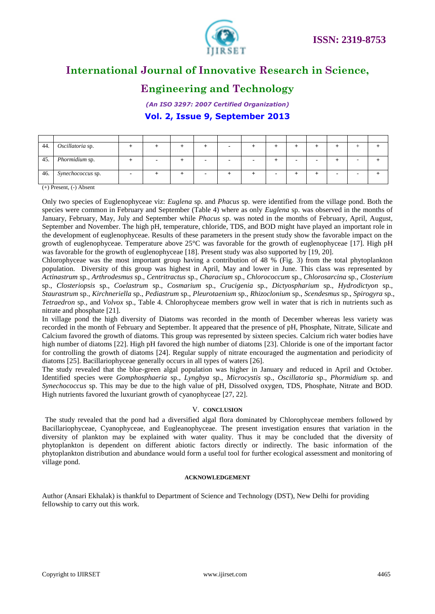

### **Engineering and Technology**

*(An ISO 3297: 2007 Certified Organization)* **Vol. 2, Issue 9, September 2013**

| 44. | Oscillatoria sp.  |  |  |  |  |  |  |
|-----|-------------------|--|--|--|--|--|--|
| 45. | Phormidium sp.    |  |  |  |  |  |  |
| 46. | Synechococcus sp. |  |  |  |  |  |  |

(+) Present, (-) Absent

Only two species of Euglenophyceae viz: *Euglena* sp. and *Phacus* sp. were identified from the village pond. Both the species were common in February and September (Table 4) where as only *Euglena* sp. was observed in the months of January, February, May, July and September while *Phacus* sp. was noted in the months of February, April, August, September and November. The high pH, temperature, chloride, TDS, and BOD might have played an important role in the development of euglenophyceae. Results of these parameters in the present study show the favorable impact on the growth of euglenophyceae. Temperature above 25°C was favorable for the growth of euglenophyceae [17]. High pH was favorable for the growth of euglenophyceae [18]. Present study was also supported by [19, 20].

Chlorophyceae was the most important group having a contribution of 48 % (Fig. 3) from the total phytoplankton population. Diversity of this group was highest in April, May and lower in June. This class was represented by *Actinastrum* sp., *Arthrodesmus* sp., *Centritractus* sp., *Characium* sp., *Chlorococcum* sp., *Chlorosarcina* sp., *Closterium* sp., *Closteriopsis* sp., *Coelastrum* sp., *Cosmarium* sp., *Crucigenia* sp., *Dictyospharium* sp., *Hydrodictyon* sp., *Staurastrum* sp., *Kirchneriella* sp., *Pediastrum* sp., *Pleurotaenium* sp., *Rhizoclonium* sp., *Scendesmus* sp., *Spirogyra* sp., *Tetraedron* sp., and *Volvox* sp., Table 4. Chlorophyceae members grow well in water that is rich in nutrients such as nitrate and phosphate [21].

In village pond the high diversity of Diatoms was recorded in the month of December whereas less variety was recorded in the month of February and September. It appeared that the presence of pH, Phosphate, Nitrate, Silicate and Calcium favored the growth of diatoms. This group was represented by sixteen species. Calcium rich water bodies have high number of diatoms [22]. High pH favored the high number of diatoms [23]. Chloride is one of the important factor for controlling the growth of diatoms [24]. Regular supply of nitrate encouraged the augmentation and periodicity of diatoms [25]. Bacillariophyceae generally occurs in all types of waters [26].

The study revealed that the blue-green algal population was higher in January and reduced in April and October. Identified species were *Gomphosphaeria* sp., *Lyngbya* sp., *Microcystis* sp., *Oscillatoria* sp., *Phormidium* sp. and *Synechococcus* sp. This may be due to the high value of pH, Dissolved oxygen, TDS, Phosphate, Nitrate and BOD. High nutrients favored the luxuriant growth of cyanophyceae [27, 22].

#### V. **CONCLUSION**

 The study revealed that the pond had a diversified algal flora dominated by Chlorophyceae members followed by Bacillariophyceae, Cyanophyceae, and Eugleanophyceae. The present investigation ensures that variation in the diversity of plankton may be explained with water quality. Thus it may be concluded that the diversity of phytoplankton is dependent on different abiotic factors directly or indirectly. The basic information of the phytoplankton distribution and abundance would form a useful tool for further ecological assessment and monitoring of village pond.

#### **ACKNOWLEDGEMENT**

Author (Ansari Ekhalak) is thankful to Department of Science and Technology (DST), New Delhi for providing fellowship to carry out this work.